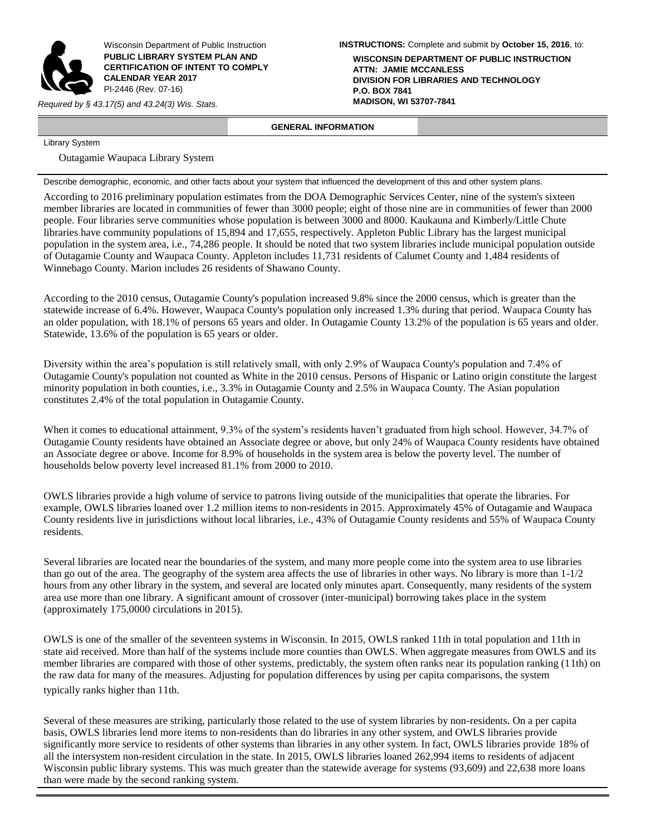

Wisconsin Department of Public Instruction **PUBLIC LIBRARY SYSTEM PLAN AND CERTIFICATION OF INTENT TO COMPLY CALENDAR YEAR 2017** PI-2446 (Rev. 07-16)

*Required by § 43.17(5) and 43.24(3) Wis. Stats.* 

**INSTRUCTIONS:** Complete and submit by **October 15, 2016**, to:

**WISCONSIN DEPARTMENT OF PUBLIC INSTRUCTION ATTN: JAMIE MCCANLESS DIVISION FOR LIBRARIES AND TECHNOLOGY P.O. BOX 7841**

# **GENERAL INFORMATION**

Library System

Outagamie Waupaca Library System

Describe demographic, economic, and other facts about your system that influenced the development of this and other system plans.

According to 2016 preliminary population estimates from the DOA Demographic Services Center, nine of the system's sixteen member libraries are located in communities of fewer than 3000 people; eight of those nine are in communities of fewer than 2000 people. Four libraries serve communities whose population is between 3000 and 8000. Kaukauna and Kimberly/Little Chute libraries have community populations of 15,894 and 17,655, respectively. Appleton Public Library has the largest municipal population in the system area, i.e., 74,286 people. It should be noted that two system libraries include municipal population outside of Outagamie County and Waupaca County. Appleton includes 11,731 residents of Calumet County and 1,484 residents of Winnebago County. Marion includes 26 residents of Shawano County.

According to the 2010 census, Outagamie County's population increased 9.8% since the 2000 census, which is greater than the statewide increase of 6.4%. However, Waupaca County's population only increased 1.3% during that period. Waupaca County has an older population, with 18.1% of persons 65 years and older. In Outagamie County 13.2% of the population is 65 years and older. Statewide, 13.6% of the population is 65 years or older.

Diversity within the area's population is still relatively small, with only 2.9% of Waupaca County's population and 7.4% of Outagamie County's population not counted as White in the 2010 census. Persons of Hispanic or Latino origin constitute the largest minority population in both counties, i.e., 3.3% in Outagamie County and 2.5% in Waupaca County. The Asian population constitutes 2.4% of the total population in Outagamie County.

When it comes to educational attainment, 9.3% of the system's residents haven't graduated from high school. However, 34.7% of Outagamie County residents have obtained an Associate degree or above, but only 24% of Waupaca County residents have obtained an Associate degree or above. Income for 8.9% of households in the system area is below the poverty level. The number of households below poverty level increased 81.1% from 2000 to 2010.

OWLS libraries provide a high volume of service to patrons living outside of the municipalities that operate the libraries. For example, OWLS libraries loaned over 1.2 million items to non-residents in 2015. Approximately 45% of Outagamie and Waupaca County residents live in jurisdictions without local libraries, i.e., 43% of Outagamie County residents and 55% of Waupaca County residents.

Several libraries are located near the boundaries of the system, and many more people come into the system area to use libraries than go out of the area. The geography of the system area affects the use of libraries in other ways. No library is more than 1-1/2 hours from any other library in the system, and several are located only minutes apart. Consequently, many residents of the system area use more than one library. A significant amount of crossover (inter-municipal) borrowing takes place in the system (approximately 175,0000 circulations in 2015).

OWLS is one of the smaller of the seventeen systems in Wisconsin. In 2015, OWLS ranked 11th in total population and 11th in state aid received. More than half of the systems include more counties than OWLS. When aggregate measures from OWLS and its member libraries are compared with those of other systems, predictably, the system often ranks near its population ranking (11th) on the raw data for many of the measures. Adjusting for population differences by using per capita comparisons, the system typically ranks higher than 11th.

Several of these measures are striking, particularly those related to the use of system libraries by non-residents. On a per capita basis, OWLS libraries lend more items to non-residents than do libraries in any other system, and OWLS libraries provide significantly more service to residents of other systems than libraries in any other system. In fact, OWLS libraries provide 18% of all the intersystem non-resident circulation in the state. In 2015, OWLS libraries loaned 262,994 items to residents of adjacent Wisconsin public library systems. This was much greater than the statewide average for systems (93,609) and 22,638 more loans than were made by the second ranking system.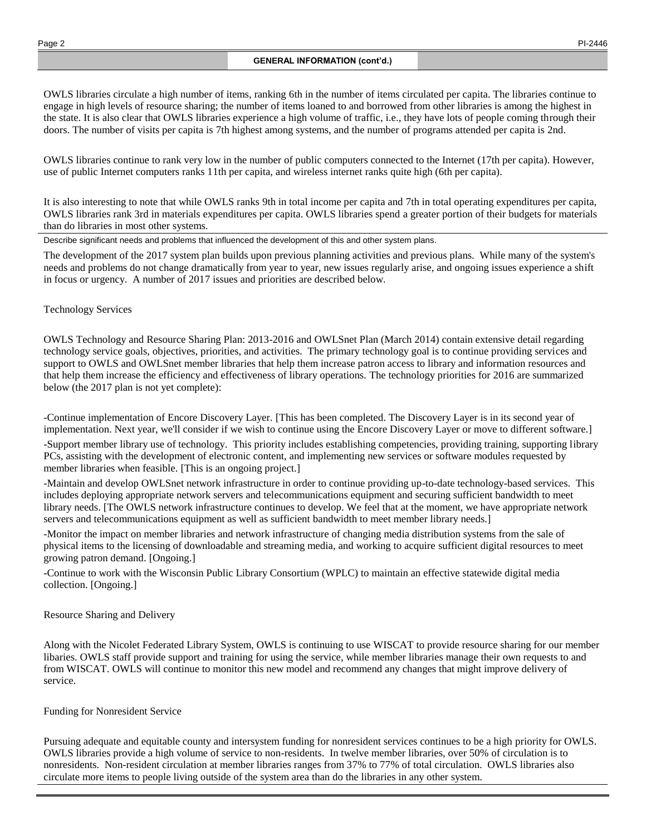OWLS libraries circulate a high number of items, ranking 6th in the number of items circulated per capita. The libraries continue to engage in high levels of resource sharing; the number of items loaned to and borrowed from other libraries is among the highest in the state. It is also clear that OWLS libraries experience a high volume of traffic, i.e., they have lots of people coming through their doors. The number of visits per capita is 7th highest among systems, and the number of programs attended per capita is 2nd.

OWLS libraries continue to rank very low in the number of public computers connected to the Internet (17th per capita). However, use of public Internet computers ranks 11th per capita, and wireless internet ranks quite high (6th per capita).

It is also interesting to note that while OWLS ranks 9th in total income per capita and 7th in total operating expenditures per capita, OWLS libraries rank 3rd in materials expenditures per capita. OWLS libraries spend a greater portion of their budgets for materials than do libraries in most other systems.

Describe significant needs and problems that influenced the development of this and other system plans.

The development of the 2017 system plan builds upon previous planning activities and previous plans. While many of the system's needs and problems do not change dramatically from year to year, new issues regularly arise, and ongoing issues experience a shift in focus or urgency. A number of 2017 issues and priorities are described below.

## Technology Services

OWLS Technology and Resource Sharing Plan: 2013-2016 and OWLSnet Plan (March 2014) contain extensive detail regarding technology service goals, objectives, priorities, and activities. The primary technology goal is to continue providing services and support to OWLS and OWLSnet member libraries that help them increase patron access to library and information resources and that help them increase the efficiency and effectiveness of library operations. The technology priorities for 2016 are summarized below (the 2017 plan is not yet complete):

-Continue implementation of Encore Discovery Layer. [This has been completed. The Discovery Layer is in its second year of implementation. Next year, we'll consider if we wish to continue using the Encore Discovery Layer or move to different software.]

-Support member library use of technology. This priority includes establishing competencies, providing training, supporting library PCs, assisting with the development of electronic content, and implementing new services or software modules requested by member libraries when feasible. [This is an ongoing project.]

-Maintain and develop OWLSnet network infrastructure in order to continue providing up-to-date technology-based services. This includes deploying appropriate network servers and telecommunications equipment and securing sufficient bandwidth to meet library needs. [The OWLS network infrastructure continues to develop. We feel that at the moment, we have appropriate network servers and telecommunications equipment as well as sufficient bandwidth to meet member library needs.]

-Monitor the impact on member libraries and network infrastructure of changing media distribution systems from the sale of physical items to the licensing of downloadable and streaming media, and working to acquire sufficient digital resources to meet growing patron demand. [Ongoing.]

-Continue to work with the Wisconsin Public Library Consortium (WPLC) to maintain an effective statewide digital media collection. [Ongoing.]

## Resource Sharing and Delivery

Along with the Nicolet Federated Library System, OWLS is continuing to use WISCAT to provide resource sharing for our member libaries. OWLS staff provide support and training for using the service, while member libraries manage their own requests to and from WISCAT. OWLS will continue to monitor this new model and recommend any changes that might improve delivery of service.

## Funding for Nonresident Service

Pursuing adequate and equitable county and intersystem funding for nonresident services continues to be a high priority for OWLS. OWLS libraries provide a high volume of service to non-residents. In twelve member libraries, over 50% of circulation is to nonresidents. Non-resident circulation at member libraries ranges from 37% to 77% of total circulation. OWLS libraries also circulate more items to people living outside of the system area than do the libraries in any other system.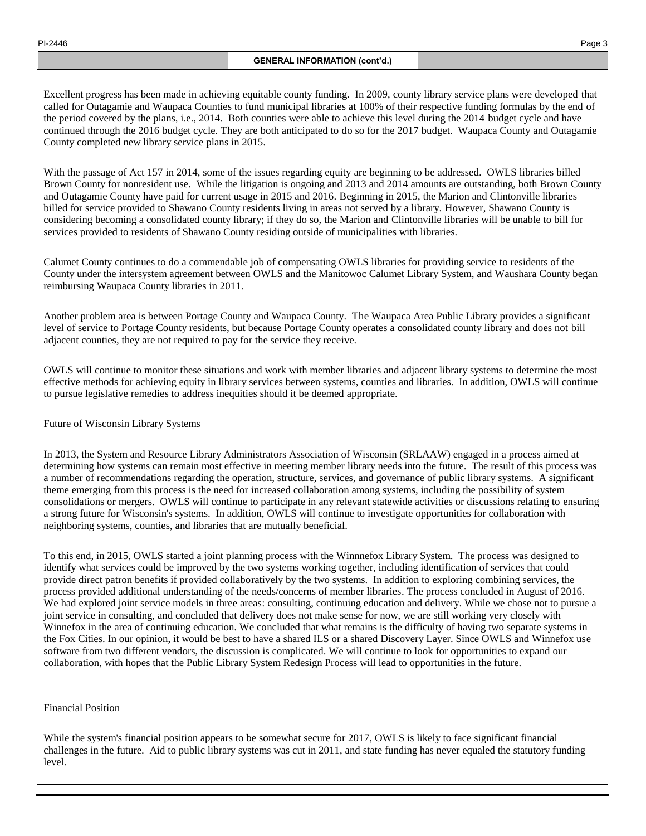Excellent progress has been made in achieving equitable county funding. In 2009, county library service plans were developed that called for Outagamie and Waupaca Counties to fund municipal libraries at 100% of their respective funding formulas by the end of the period covered by the plans, i.e., 2014. Both counties were able to achieve this level during the 2014 budget cycle and have continued through the 2016 budget cycle. They are both anticipated to do so for the 2017 budget. Waupaca County and Outagamie County completed new library service plans in 2015.

With the passage of Act 157 in 2014, some of the issues regarding equity are beginning to be addressed. OWLS libraries billed Brown County for nonresident use. While the litigation is ongoing and 2013 and 2014 amounts are outstanding, both Brown County and Outagamie County have paid for current usage in 2015 and 2016. Beginning in 2015, the Marion and Clintonville libraries billed for service provided to Shawano County residents living in areas not served by a library. However, Shawano County is considering becoming a consolidated county library; if they do so, the Marion and Clintonville libraries will be unable to bill for services provided to residents of Shawano County residing outside of municipalities with libraries.

Calumet County continues to do a commendable job of compensating OWLS libraries for providing service to residents of the County under the intersystem agreement between OWLS and the Manitowoc Calumet Library System, and Waushara County began reimbursing Waupaca County libraries in 2011.

Another problem area is between Portage County and Waupaca County. The Waupaca Area Public Library provides a significant level of service to Portage County residents, but because Portage County operates a consolidated county library and does not bill adjacent counties, they are not required to pay for the service they receive.

OWLS will continue to monitor these situations and work with member libraries and adjacent library systems to determine the most effective methods for achieving equity in library services between systems, counties and libraries. In addition, OWLS will continue to pursue legislative remedies to address inequities should it be deemed appropriate.

Future of Wisconsin Library Systems

In 2013, the System and Resource Library Administrators Association of Wisconsin (SRLAAW) engaged in a process aimed at determining how systems can remain most effective in meeting member library needs into the future. The result of this process was a number of recommendations regarding the operation, structure, services, and governance of public library systems. A significant theme emerging from this process is the need for increased collaboration among systems, including the possibility of system consolidations or mergers. OWLS will continue to participate in any relevant statewide activities or discussions relating to ensuring a strong future for Wisconsin's systems. In addition, OWLS will continue to investigate opportunities for collaboration with neighboring systems, counties, and libraries that are mutually beneficial.

To this end, in 2015, OWLS started a joint planning process with the Winnnefox Library System. The process was designed to identify what services could be improved by the two systems working together, including identification of services that could provide direct patron benefits if provided collaboratively by the two systems. In addition to exploring combining services, the process provided additional understanding of the needs/concerns of member libraries. The process concluded in August of 2016. We had explored joint service models in three areas: consulting, continuing education and delivery. While we chose not to pursue a joint service in consulting, and concluded that delivery does not make sense for now, we are still working very closely with Winnefox in the area of continuing education. We concluded that what remains is the difficulty of having two separate systems in the Fox Cities. In our opinion, it would be best to have a shared ILS or a shared Discovery Layer. Since OWLS and Winnefox use software from two different vendors, the discussion is complicated. We will continue to look for opportunities to expand our collaboration, with hopes that the Public Library System Redesign Process will lead to opportunities in the future.

# Financial Position

While the system's financial position appears to be somewhat secure for 2017, OWLS is likely to face significant financial challenges in the future. Aid to public library systems was cut in 2011, and state funding has never equaled the statutory funding level.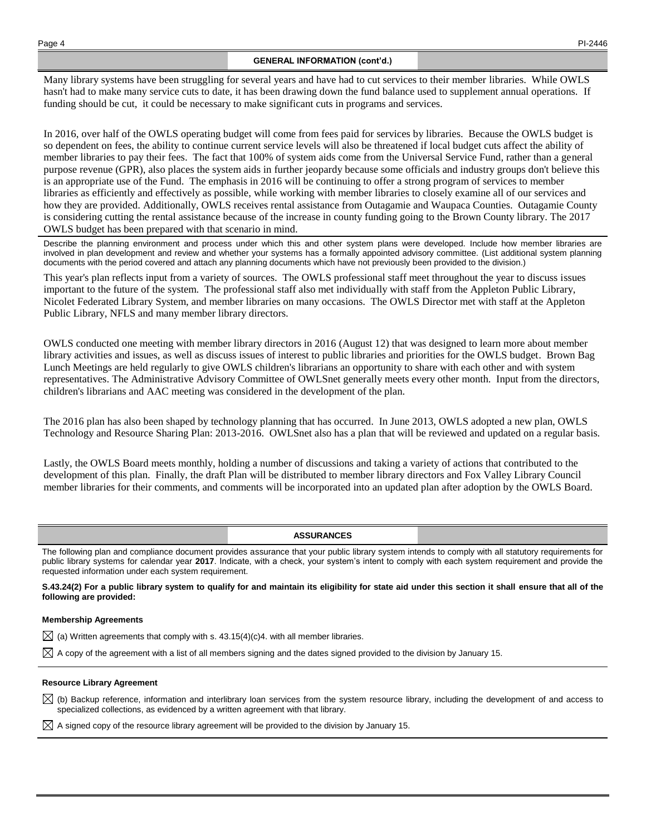#### **GENERAL INFORMATION (cont'd.)**

Many library systems have been struggling for several years and have had to cut services to their member libraries. While OWLS hasn't had to make many service cuts to date, it has been drawing down the fund balance used to supplement annual operations. If funding should be cut, it could be necessary to make significant cuts in programs and services.

In 2016, over half of the OWLS operating budget will come from fees paid for services by libraries. Because the OWLS budget is so dependent on fees, the ability to continue current service levels will also be threatened if local budget cuts affect the ability of member libraries to pay their fees. The fact that 100% of system aids come from the Universal Service Fund, rather than a general purpose revenue (GPR), also places the system aids in further jeopardy because some officials and industry groups don't believe this is an appropriate use of the Fund. The emphasis in 2016 will be continuing to offer a strong program of services to member libraries as efficiently and effectively as possible, while working with member libraries to closely examine all of our services and how they are provided. Additionally, OWLS receives rental assistance from Outagamie and Waupaca Counties. Outagamie County is considering cutting the rental assistance because of the increase in county funding going to the Brown County library. The 2017 OWLS budget has been prepared with that scenario in mind.

Describe the planning environment and process under which this and other system plans were developed. Include how member libraries are involved in plan development and review and whether your systems has a formally appointed advisory committee. (List additional system planning documents with the period covered and attach any planning documents which have not previously been provided to the division.)

This year's plan reflects input from a variety of sources. The OWLS professional staff meet throughout the year to discuss issues important to the future of the system. The professional staff also met individually with staff from the Appleton Public Library, Nicolet Federated Library System, and member libraries on many occasions. The OWLS Director met with staff at the Appleton Public Library, NFLS and many member library directors.

OWLS conducted one meeting with member library directors in 2016 (August 12) that was designed to learn more about member library activities and issues, as well as discuss issues of interest to public libraries and priorities for the OWLS budget. Brown Bag Lunch Meetings are held regularly to give OWLS children's librarians an opportunity to share with each other and with system representatives. The Administrative Advisory Committee of OWLSnet generally meets every other month. Input from the directors, children's librarians and AAC meeting was considered in the development of the plan.

The 2016 plan has also been shaped by technology planning that has occurred. In June 2013, OWLS adopted a new plan, OWLS Technology and Resource Sharing Plan: 2013-2016. OWLSnet also has a plan that will be reviewed and updated on a regular basis.

Lastly, the OWLS Board meets monthly, holding a number of discussions and taking a variety of actions that contributed to the development of this plan. Finally, the draft Plan will be distributed to member library directors and Fox Valley Library Council member libraries for their comments, and comments will be incorporated into an updated plan after adoption by the OWLS Board.

### **ASSURANCES**

The following plan and compliance document provides assurance that your public library system intends to comply with all statutory requirements for public library systems for calendar year **2017**. Indicate, with a check, your system's intent to comply with each system requirement and provide the requested information under each system requirement.

**S.43.24(2) For a public library system to qualify for and maintain its eligibility for state aid under this section it shall ensure that all of the following are provided:**

#### **Membership Agreements**

 $\boxtimes$  (a) Written agreements that comply with s. 43.15(4)(c)4. with all member libraries.

 $\boxtimes$  A copy of the agreement with a list of all members signing and the dates signed provided to the division by January 15.

#### **Resource Library Agreement**

 $\boxtimes$  (b) Backup reference, information and interlibrary loan services from the system resource library, including the development of and access to specialized collections, as evidenced by a written agreement with that library.

 $\boxtimes$  A signed copy of the resource library agreement will be provided to the division by January 15.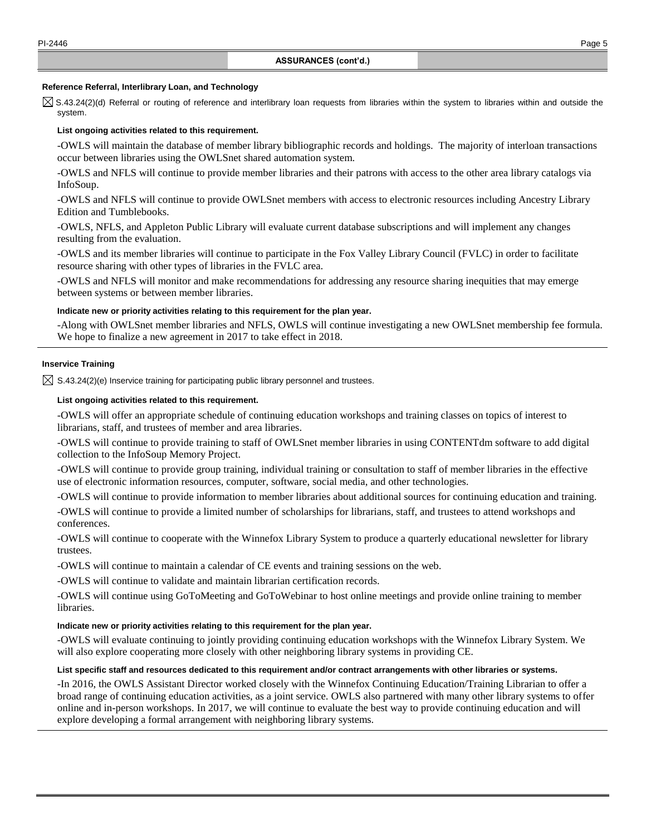#### **Reference Referral, Interlibrary Loan, and Technology**

 $\boxtimes$  S.43.24(2)(d) Referral or routing of reference and interlibrary loan requests from libraries within the system to libraries within and outside the system.

### **List ongoing activities related to this requirement.**

-OWLS will maintain the database of member library bibliographic records and holdings. The majority of interloan transactions occur between libraries using the OWLSnet shared automation system.

-OWLS and NFLS will continue to provide member libraries and their patrons with access to the other area library catalogs via InfoSoup.

-OWLS and NFLS will continue to provide OWLSnet members with access to electronic resources including Ancestry Library Edition and Tumblebooks.

-OWLS, NFLS, and Appleton Public Library will evaluate current database subscriptions and will implement any changes resulting from the evaluation.

-OWLS and its member libraries will continue to participate in the Fox Valley Library Council (FVLC) in order to facilitate resource sharing with other types of libraries in the FVLC area.

-OWLS and NFLS will monitor and make recommendations for addressing any resource sharing inequities that may emerge between systems or between member libraries.

## **Indicate new or priority activities relating to this requirement for the plan year.**

-Along with OWLSnet member libraries and NFLS, OWLS will continue investigating a new OWLSnet membership fee formula. We hope to finalize a new agreement in 2017 to take effect in 2018.

## **Inservice Training**

 $\boxtimes$  S.43.24(2)(e) Inservice training for participating public library personnel and trustees.

### **List ongoing activities related to this requirement.**

-OWLS will offer an appropriate schedule of continuing education workshops and training classes on topics of interest to librarians, staff, and trustees of member and area libraries.

-OWLS will continue to provide training to staff of OWLSnet member libraries in using CONTENTdm software to add digital collection to the InfoSoup Memory Project.

-OWLS will continue to provide group training, individual training or consultation to staff of member libraries in the effective use of electronic information resources, computer, software, social media, and other technologies.

-OWLS will continue to provide information to member libraries about additional sources for continuing education and training.

-OWLS will continue to provide a limited number of scholarships for librarians, staff, and trustees to attend workshops and conferences.

-OWLS will continue to cooperate with the Winnefox Library System to produce a quarterly educational newsletter for library trustees.

-OWLS will continue to maintain a calendar of CE events and training sessions on the web.

-OWLS will continue to validate and maintain librarian certification records.

-OWLS will continue using GoToMeeting and GoToWebinar to host online meetings and provide online training to member libraries.

### **Indicate new or priority activities relating to this requirement for the plan year.**

-OWLS will evaluate continuing to jointly providing continuing education workshops with the Winnefox Library System. We will also explore cooperating more closely with other neighboring library systems in providing CE.

### **List specific staff and resources dedicated to this requirement and/or contract arrangements with other libraries or systems.**

-In 2016, the OWLS Assistant Director worked closely with the Winnefox Continuing Education/Training Librarian to offer a broad range of continuing education activities, as a joint service. OWLS also partnered with many other library systems to offer online and in-person workshops. In 2017, we will continue to evaluate the best way to provide continuing education and will explore developing a formal arrangement with neighboring library systems.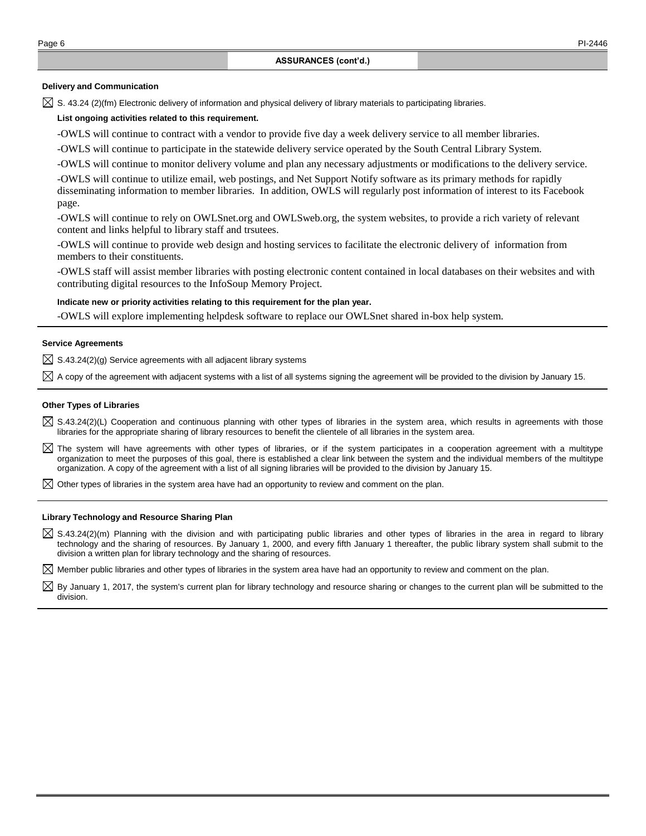### **Delivery and Communication**

 $\boxtimes$  S. 43.24 (2)(fm) Electronic delivery of information and physical delivery of library materials to participating libraries.

## **List ongoing activities related to this requirement.**

-OWLS will continue to contract with a vendor to provide five day a week delivery service to all member libraries.

-OWLS will continue to participate in the statewide delivery service operated by the South Central Library System.

-OWLS will continue to monitor delivery volume and plan any necessary adjustments or modifications to the delivery service.

-OWLS will continue to utilize email, web postings, and Net Support Notify software as its primary methods for rapidly disseminating information to member libraries. In addition, OWLS will regularly post information of interest to its Facebook page.

-OWLS will continue to rely on OWLSnet.org and OWLSweb.org, the system websites, to provide a rich variety of relevant content and links helpful to library staff and trsutees.

-OWLS will continue to provide web design and hosting services to facilitate the electronic delivery of information from members to their constituents.

-OWLS staff will assist member libraries with posting electronic content contained in local databases on their websites and with contributing digital resources to the InfoSoup Memory Project.

### **Indicate new or priority activities relating to this requirement for the plan year.**

-OWLS will explore implementing helpdesk software to replace our OWLSnet shared in-box help system.

### **Service Agreements**

 $\boxtimes$  S.43.24(2)(g) Service agreements with all adjacent library systems

 $\boxtimes$  A copy of the agreement with adjacent systems with a list of all systems signing the agreement will be provided to the division by January 15.

#### **Other Types of Libraries**

- $\boxtimes$  S.43.24(2)(L) Cooperation and continuous planning with other types of libraries in the system area, which results in agreements with those libraries for the appropriate sharing of library resources to benefit the clientele of all libraries in the system area.
- $\boxtimes$  The system will have agreements with other types of libraries, or if the system participates in a cooperation agreement with a multitype organization to meet the purposes of this goal, there is established a clear link between the system and the individual members of the multitype organization. A copy of the agreement with a list of all signing libraries will be provided to the division by January 15.
- $\boxtimes$  Other types of libraries in the system area have had an opportunity to review and comment on the plan.

#### **Library Technology and Resource Sharing Plan**

 $\boxtimes$  S.43.24(2)(m) Planning with the division and with participating public libraries and other types of libraries in the area in regard to library technology and the sharing of resources. By January 1, 2000, and every fifth January 1 thereafter, the public library system shall submit to the division a written plan for library technology and the sharing of resources.

 $\boxtimes$  Member public libraries and other types of libraries in the system area have had an opportunity to review and comment on the plan.

 $\boxtimes$  By January 1, 2017, the system's current plan for library technology and resource sharing or changes to the current plan will be submitted to the division.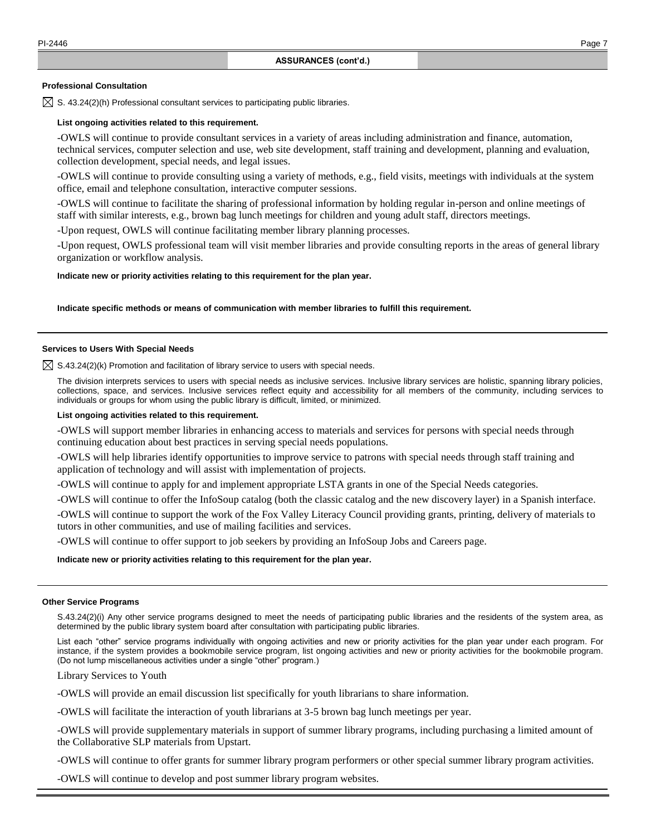#### **Professional Consultation**

 $\boxtimes$  S. 43.24(2)(h) Professional consultant services to participating public libraries.

### **List ongoing activities related to this requirement.**

-OWLS will continue to provide consultant services in a variety of areas including administration and finance, automation, technical services, computer selection and use, web site development, staff training and development, planning and evaluation, collection development, special needs, and legal issues.

-OWLS will continue to provide consulting using a variety of methods, e.g., field visits, meetings with individuals at the system office, email and telephone consultation, interactive computer sessions.

-OWLS will continue to facilitate the sharing of professional information by holding regular in-person and online meetings of staff with similar interests, e.g., brown bag lunch meetings for children and young adult staff, directors meetings.

-Upon request, OWLS will continue facilitating member library planning processes.

-Upon request, OWLS professional team will visit member libraries and provide consulting reports in the areas of general library organization or workflow analysis.

#### **Indicate new or priority activities relating to this requirement for the plan year.**

#### **Indicate specific methods or means of communication with member libraries to fulfill this requirement.**

# **Services to Users With Special Needs**

 $\boxtimes$  S.43.24(2)(k) Promotion and facilitation of library service to users with special needs.

The division interprets services to users with special needs as inclusive services. Inclusive library services are holistic, spanning library policies, collections, space, and services. Inclusive services reflect equity and accessibility for all members of the community, including services to individuals or groups for whom using the public library is difficult, limited, or minimized.

#### **List ongoing activities related to this requirement.**

-OWLS will support member libraries in enhancing access to materials and services for persons with special needs through continuing education about best practices in serving special needs populations.

-OWLS will help libraries identify opportunities to improve service to patrons with special needs through staff training and application of technology and will assist with implementation of projects.

-OWLS will continue to apply for and implement appropriate LSTA grants in one of the Special Needs categories.

-OWLS will continue to offer the InfoSoup catalog (both the classic catalog and the new discovery layer) in a Spanish interface.

-OWLS will continue to support the work of the Fox Valley Literacy Council providing grants, printing, delivery of materials to tutors in other communities, and use of mailing facilities and services.

-OWLS will continue to offer support to job seekers by providing an InfoSoup Jobs and Careers page.

#### **Indicate new or priority activities relating to this requirement for the plan year.**

#### **Other Service Programs**

S.43.24(2)(i) Any other service programs designed to meet the needs of participating public libraries and the residents of the system area, as determined by the public library system board after consultation with participating public libraries.

List each "other" service programs individually with ongoing activities and new or priority activities for the plan year under each program. For instance, if the system provides a bookmobile service program, list ongoing activities and new or priority activities for the bookmobile program. (Do not lump miscellaneous activities under a single "other" program.)

Library Services to Youth

-OWLS will provide an email discussion list specifically for youth librarians to share information.

-OWLS will facilitate the interaction of youth librarians at 3-5 brown bag lunch meetings per year.

-OWLS will provide supplementary materials in support of summer library programs, including purchasing a limited amount of the Collaborative SLP materials from Upstart.

-OWLS will continue to offer grants for summer library program performers or other special summer library program activities.

-OWLS will continue to develop and post summer library program websites.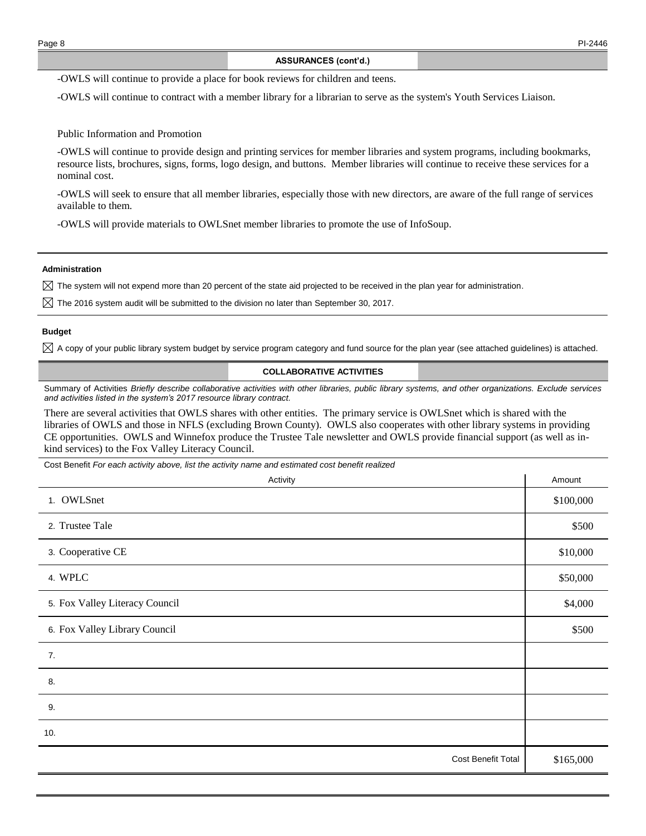-OWLS will continue to provide a place for book reviews for children and teens.

-OWLS will continue to contract with a member library for a librarian to serve as the system's Youth Services Liaison.

Public Information and Promotion

-OWLS will continue to provide design and printing services for member libraries and system programs, including bookmarks, resource lists, brochures, signs, forms, logo design, and buttons. Member libraries will continue to receive these services for a nominal cost.

-OWLS will seek to ensure that all member libraries, especially those with new directors, are aware of the full range of services available to them.

-OWLS will provide materials to OWLSnet member libraries to promote the use of InfoSoup.

**Administration**

 $\boxtimes$  The system will not expend more than 20 percent of the state aid projected to be received in the plan year for administration.

 $\boxtimes$  The 2016 system audit will be submitted to the division no later than September 30, 2017.

### **Budget**

 $\boxtimes$  A copy of your public library system budget by service program category and fund source for the plan year (see attached guidelines) is attached.

#### **COLLABORATIVE ACTIVITIES**

Summary of Activities *Briefly describe collaborative activities with other libraries, public library systems, and other organizations. Exclude services and activities listed in the system's 2017 resource library contract.*

There are several activities that OWLS shares with other entities. The primary service is OWLSnet which is shared with the libraries of OWLS and those in NFLS (excluding Brown County). OWLS also cooperates with other library systems in providing CE opportunities. OWLS and Winnefox produce the Trustee Tale newsletter and OWLS provide financial support (as well as inkind services) to the Fox Valley Literacy Council.

Cost Benefit *For each activity above, list the activity name and estimated cost benefit realized*

| Activity                       | Amount    |
|--------------------------------|-----------|
| 1. OWLSnet                     | \$100,000 |
| 2. Trustee Tale                | \$500     |
| 3. Cooperative CE              | \$10,000  |
| 4. WPLC                        | \$50,000  |
| 5. Fox Valley Literacy Council | \$4,000   |
| 6. Fox Valley Library Council  | \$500     |
| 7.                             |           |
| 8.                             |           |
| 9.                             |           |
| 10.                            |           |
| Cost Benefit Total             | \$165,000 |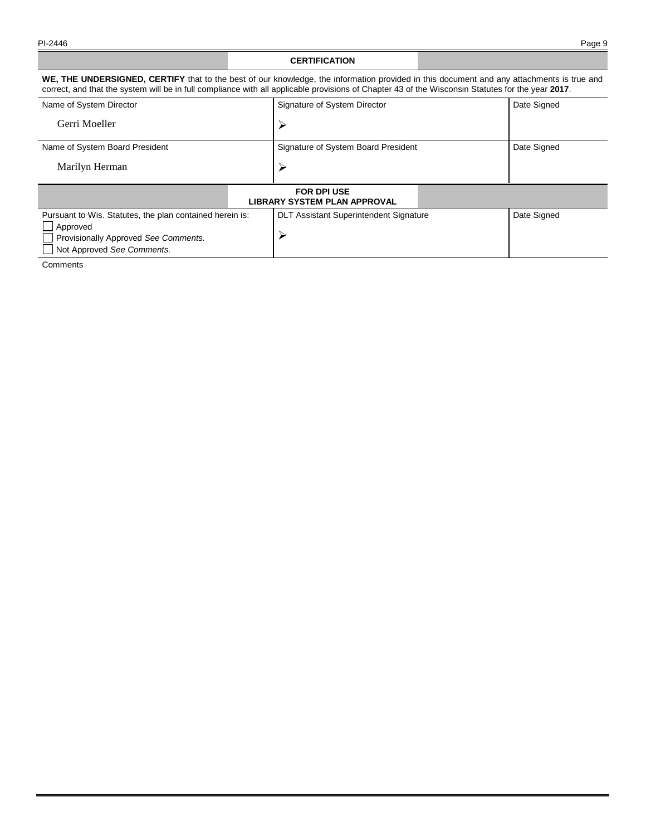## **CERTIFICATION**

**WE, THE UNDERSIGNED, CERTIFY** that to the best of our knowledge, the information provided in this document and any attachments is true and correct, and that the system will be in full compliance with all applicable provisions of Chapter 43 of the Wisconsin Statutes for the year **2017**.

| Signature of System Director                       | Date Signed |  |  |  |  |  |
|----------------------------------------------------|-------------|--|--|--|--|--|
| ↘                                                  |             |  |  |  |  |  |
| Signature of System Board President                | Date Signed |  |  |  |  |  |
|                                                    |             |  |  |  |  |  |
| <b>FOR DPI USE</b><br>LIBRARY SYSTEM PLAN APPROVAL |             |  |  |  |  |  |
| <b>DLT Assistant Superintendent Signature</b>      | Date Signed |  |  |  |  |  |
|                                                    |             |  |  |  |  |  |
|                                                    |             |  |  |  |  |  |

Not Approved *See Comments.*

**Comments**